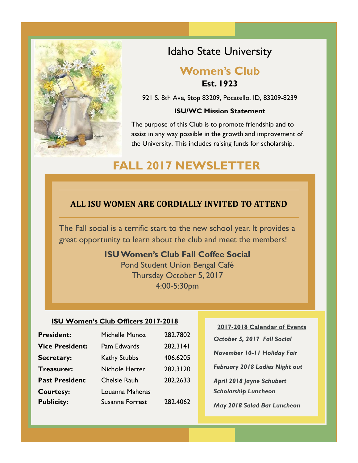

## Idaho State University

## **Women's Club Est. 1923**

921 S. 8th Ave, Stop 83209, Pocatello, ID, 83209-8239

#### **ISU/WC Mission Statement**

The purpose of this Club is to promote friendship and to assist in any way possible in the growth and improvement of the University. This includes raising funds for scholarship.

# **FALL 2017 NEWSLETTER**

## **ALL ISU WOMEN ARE CORDIALLY INVITED TO ATTEND**

The Fall social is a terrific start to the new school year. It provides a great opportunity to learn about the club and meet the members!

### **ISU Women's Club Fall Coffee Social**

Pond Student Union Bengal Café Thursday October 5, 2017 4:00-5:30pm

#### **ISU Women's Club Officers 2017-2018**

| <b>President:</b>      | Michelle Munoz         | 282.7802 |
|------------------------|------------------------|----------|
| <b>Vice President:</b> | Pam Edwards            | 282.3141 |
| <b>Secretary:</b>      | <b>Kathy Stubbs</b>    | 406.6205 |
| <b>Treasurer:</b>      | <b>Nichole Herter</b>  | 282.3120 |
| <b>Past President</b>  | <b>Chelsie Rauh</b>    | 282.2633 |
| <b>Courtesy:</b>       | Louanna Maheras        |          |
| <b>Publicity:</b>      | <b>Susanne Forrest</b> | 282.4062 |

### **2017-2018 Calendar of Events**

*October 5, 2017 Fall Social*

*November 10-11 Holiday Fair*

*February 2018 Ladies Night out*

*April 2018 Jayne Schubert* 

*Scholarship Luncheon*

*May 2018 Salad Bar Luncheon*